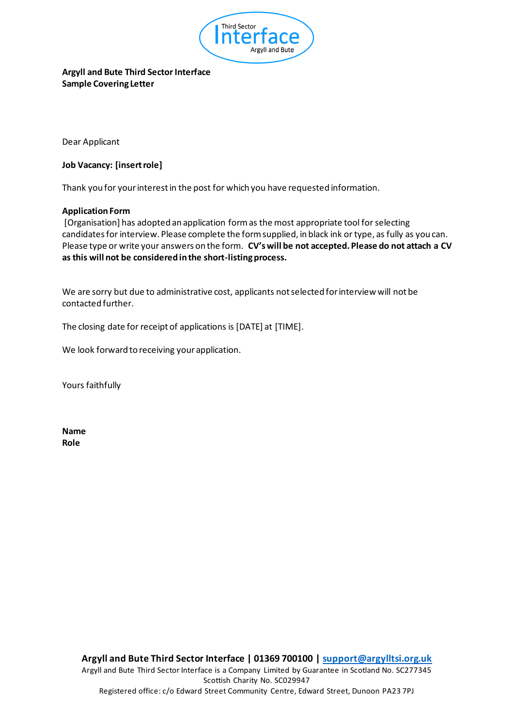

# **Argyll and Bute Third Sector Interface Sample Covering Letter**

Dear Applicant

#### **Job Vacancy: [insert role]**

Thank you for your interest in the post for which you have requested information.

#### **Application Form**

[Organisation] has adopted an application form as the most appropriate tool for selecting candidates for interview. Please complete the form supplied, in black ink or type, as fully as you can. Please type or write your answers on the form. **CV's will be not accepted. Please do not attach a CV as this will not be considered in the short-listing process.** 

We are sorry but due to administrative cost, applicants not selected for interview will not be contacted further.

The closing date for receipt of applications is [DATE] at [TIME].

We look forward to receiving your application.

Yours faithfully

**Name Role**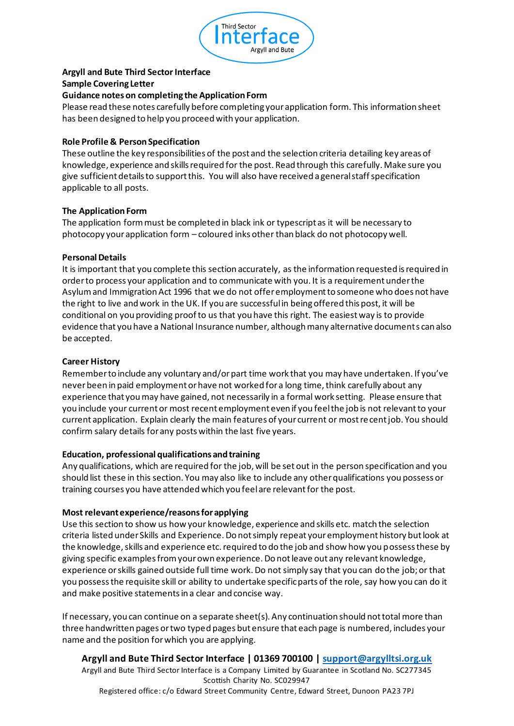

# **Argyll and Bute Third Sector Interface**

#### **Sample Covering Letter**

## **Guidance notes on completing the Application Form**

Please read these notes carefully before completing your application form. This information sheet has been designed to help you proceed with your application.

### **Role Profile & Person Specification**

These outline the key responsibilities of the post and the selection criteria detailing key areas of knowledge, experience and skills required for the post. Read through this carefully. Make sure you give sufficient details to support this. You will also have received a general staff specification applicable to all posts.

### **The Application Form**

The application form must be completed in black ink or typescript as it will be necessary to photocopy your application form – coloured inks other than black do not photocopy well.

### **Personal Details**

It is important that you complete this section accurately, as the information requested is required in order to process your application and to communicate with you. It is a requirement under the Asylum and Immigration Act 1996 that we do not offer employment to someone who does not have the right to live and work in the UK. If you are successful in being offered this post, it will be conditional on you providing proof to us that you have this right. The easiest way is to provide evidence that you have a National Insurance number, although many alternative documents can also be accepted.

### **Career History**

Remember to include any voluntary and/or part time work that you may have undertaken. If you've never been in paid employment or have not worked for a long time, think carefully about any experience that you may have gained, not necessarily in a formal work setting. Please ensure that you include your current or most recent employment even if you feel the job is not relevant to your current application. Explain clearly the main features of your current or most recent job. You should confirm salary details for any posts within the last five years.

#### **Education, professional qualifications and training**

Any qualifications, which are required for the job, will be set out in the person specification and you should list these in this section. You may also like to include any other qualifications you possess or training courses you have attended which you feel are relevant for the post.

#### **Most relevant experience/reasons for applying**

Use this section to show us how your knowledge, experience and skills etc. match the selection criteria listed under Skills and Experience. Do not simply repeat your employment history but look at the knowledge, skills and experience etc. required to do the job and show how you possess these by giving specific examples from your own experience. Do not leave out any relevant knowledge, experience or skills gained outside full time work. Do not simply say that you can do the job; or that you possess the requisite skill or ability to undertake specific parts of the role, say how you can do it and make positive statements in a clear and concise way.

If necessary, you can continue on a separate sheet(s). Any continuation should not total more than three handwritten pages or two typed pages but ensure that each page is numbered, includes your name and the position for which you are applying.

**Argyll and Bute Third Sector Interface | 01369 700100 | support@argylltsi.org.uk** Argyll and Bute Third Sector Interface is a Company Limited by Guarantee in Scotland No. SC277345 Scottish Charity No. SC029947 Registered office: c/o Edward Street Community Centre, Edward Street, Dunoon PA23 7PJ